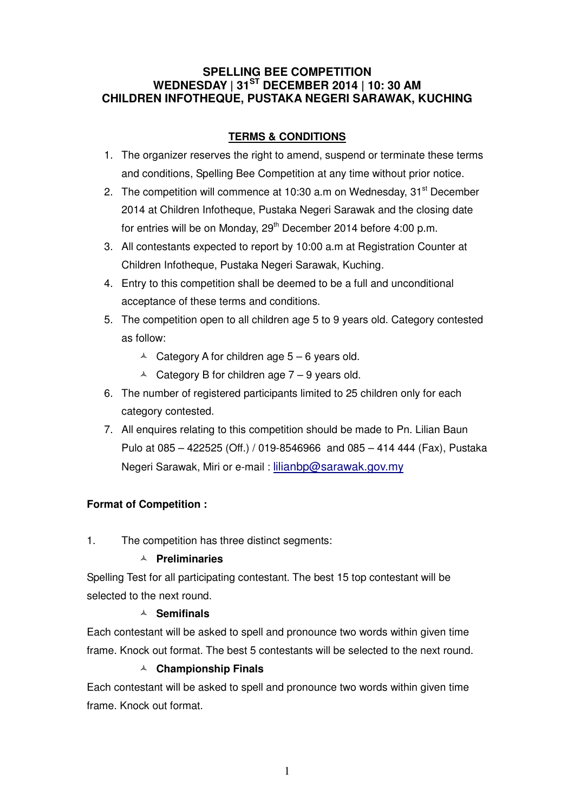### **SPELLING BEE COMPETITION WEDNESDAY | 31ST DECEMBER 2014 | 10: 30 AM CHILDREN INFOTHEQUE, PUSTAKA NEGERI SARAWAK, KUCHING**

## **TERMS & CONDITIONS**

- 1. The organizer reserves the right to amend, suspend or terminate these terms and conditions, Spelling Bee Competition at any time without prior notice.
- 2. The competition will commence at 10:30 a.m on Wednesday,  $31<sup>st</sup>$  December 2014 at Children Infotheque, Pustaka Negeri Sarawak and the closing date for entries will be on Monday, 29<sup>th</sup> December 2014 before 4:00 p.m.
- 3. All contestants expected to report by 10:00 a.m at Registration Counter at Children Infotheque, Pustaka Negeri Sarawak, Kuching.
- 4. Entry to this competition shall be deemed to be a full and unconditional acceptance of these terms and conditions.
- 5. The competition open to all children age 5 to 9 years old. Category contested as follow:
	- $\triangle$  Category A for children age  $5 6$  years old.
	- $\triangle$  Category B for children age 7 9 years old.
- 6. The number of registered participants limited to 25 children only for each category contested.
- 7. All enquires relating to this competition should be made to Pn. Lilian Baun Pulo at 085 – 422525 (Off.) / 019-8546966 and 085 – 414 444 (Fax), Pustaka Negeri Sarawak, Miri or e-mail : lilianbp@sarawak.gov.my

## **Format of Competition :**

1. The competition has three distinct segments:

### **Preliminaries**

Spelling Test for all participating contestant. The best 15 top contestant will be selected to the next round.

### **Semifinals**

Each contestant will be asked to spell and pronounce two words within given time frame. Knock out format. The best 5 contestants will be selected to the next round.

### **Championship Finals**

Each contestant will be asked to spell and pronounce two words within given time frame. Knock out format.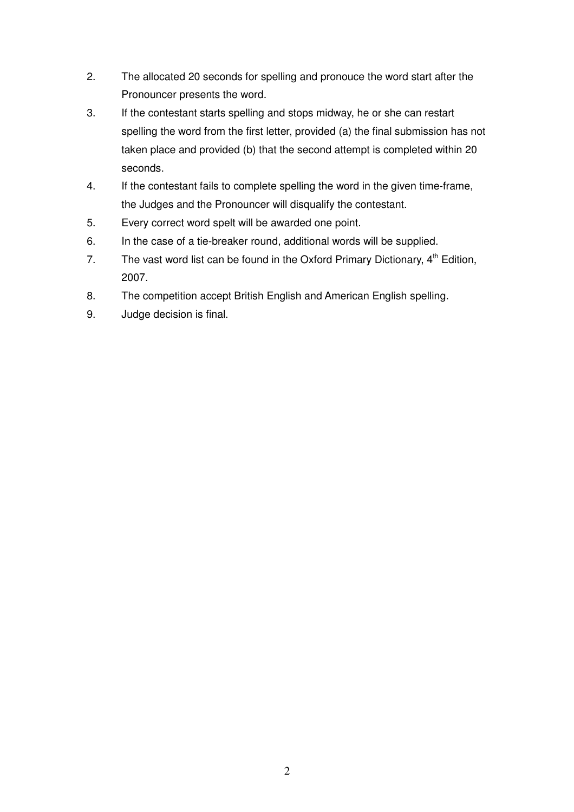- 2. The allocated 20 seconds for spelling and pronouce the word start after the Pronouncer presents the word.
- 3. If the contestant starts spelling and stops midway, he or she can restart spelling the word from the first letter, provided (a) the final submission has not taken place and provided (b) that the second attempt is completed within 20 seconds.
- 4. If the contestant fails to complete spelling the word in the given time-frame, the Judges and the Pronouncer will disqualify the contestant.
- 5. Every correct word spelt will be awarded one point.
- 6. In the case of a tie-breaker round, additional words will be supplied.
- 7. The vast word list can be found in the Oxford Primary Dictionary,  $4<sup>th</sup>$  Edition, 2007.
- 8. The competition accept British English and American English spelling.
- 9. Judge decision is final.